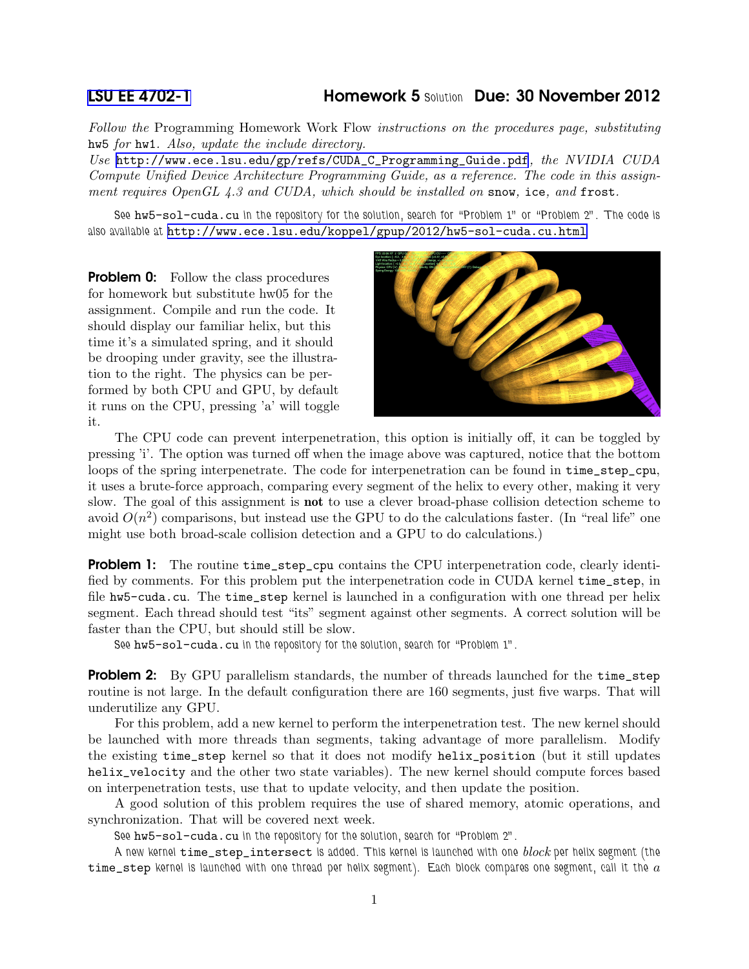## [LSU EE 4702-1](http://www.ece.lsu.edu/koppel/gpup/) Homework 5 Solution Due: 30 November 2012

Follow the Programming Homework Work Flow instructions on the procedures page, substituting hw5 for hw1. Also, update the include directory.

Use [http://www.ece.lsu.edu/gp/refs/CUDA\\_C\\_Programming\\_Guide.pdf](http://www.ece.lsu.edu/gp/refs/CUDA_C_Programming_Guide.pdf), the NVIDIA CUDA Compute Unified Device Architecture Programming Guide, as a reference. The code in this assignment requires OpenGL 4.3 and CUDA, which should be installed on snow, ice, and frost.

See hw5-sol-cuda.cu in the repository for the solution, search for "Problem 1" or "Problem 2". The code is also available at <http://www.ece.lsu.edu/koppel/gpup/2012/hw5-sol-cuda.cu.html>

**Problem 0:** Follow the class procedures for homework but substitute hw05 for the assignment. Compile and run the code. It should display our familiar helix, but this time it's a simulated spring, and it should be drooping under gravity, see the illustration to the right. The physics can be performed by both CPU and GPU, by default it runs on the CPU, pressing 'a' will toggle it.



The CPU code can prevent interpenetration, this option is initially off, it can be toggled by pressing 'i'. The option was turned off when the image above was captured, notice that the bottom loops of the spring interpenetrate. The code for interpenetration can be found in time\_step\_cpu, it uses a brute-force approach, comparing every segment of the helix to every other, making it very slow. The goal of this assignment is not to use a clever broad-phase collision detection scheme to avoid  $O(n^2)$  comparisons, but instead use the GPU to do the calculations faster. (In "real life" one might use both broad-scale collision detection and a GPU to do calculations.)

**Problem 1:** The routine time\_step\_cpu contains the CPU interpenetration code, clearly identified by comments. For this problem put the interpenetration code in CUDA kernel time\_step, in file hw5-cuda.cu. The time\_step kernel is launched in a configuration with one thread per helix segment. Each thread should test "its" segment against other segments. A correct solution will be faster than the CPU, but should still be slow.

See hw5-sol-cuda.cu in the repository for the solution, search for "Problem 1".

**Problem 2:** By GPU parallelism standards, the number of threads launched for the time\_step routine is not large. In the default configuration there are 160 segments, just five warps. That will underutilize any GPU.

For this problem, add a new kernel to perform the interpenetration test. The new kernel should be launched with more threads than segments, taking advantage of more parallelism. Modify the existing time\_step kernel so that it does not modify helix\_position (but it still updates helix\_velocity and the other two state variables). The new kernel should compute forces based on interpenetration tests, use that to update velocity, and then update the position.

A good solution of this problem requires the use of shared memory, atomic operations, and synchronization. That will be covered next week.

See hw5-sol-cuda.cu in the repository for the solution, search for "Problem 2".

A new kernel time\_step\_intersect is added. This kernel is launched with one block per helix segment (the time\_step kernel is launched with one thread per helix segment). Each block compares one segment, call it the  $a$